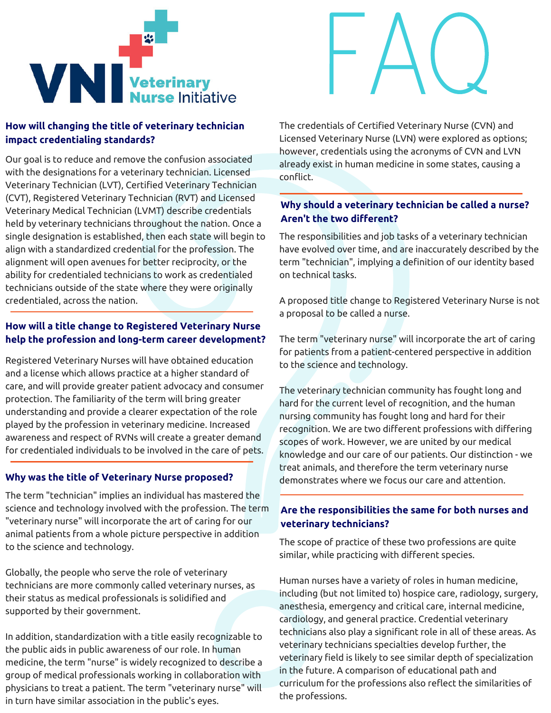



# **How will changing the title of veterinary technician impact credentialing standards?**

Our goal is to reduce and remove the confusion associated with the designations for a veterinary technician. Licensed Veterinary Technician (LVT), Certified Veterinary Technician (CVT), Registered Veterinary Technician (RVT) and Licensed Veterinary Medical Technician (LVMT) describe credentials held by veterinary technicians throughout the nation. Once a single designation is established, then each state will begin to align with a standardized credential for the profession. The alignment will open avenues for better reciprocity, or the ability for credentialed technicians to work as credentialed technicians outside of the state where they were originally credentialed, across the nation.

# **How will a title change to Registered Veterinary Nurse help the profession and long-term career development?**

Registered Veterinary Nurses will have obtained education and a license which allows practice at a higher standard of care, and will provide greater patient advocacy and consumer protection. The familiarity of the term will bring greater understanding and provide a clearer expectation of the role played by the profession in veterinary medicine. Increased awareness and respect of RVNs will create a greater demand for credentialed individuals to be involved in the care of pets.

#### **Why was the title of Veterinary Nurse proposed?**

The term "technician" implies an individual has mastered the science and technology involved with the profession. The term "veterinary nurse" will incorporate the art of caring for our animal patients from a whole picture perspective in addition to the science and technology.

Globally, the people who serve the role of veterinary technicians are more commonly called veterinary nurses, as their status as medical professionals is solidified and supported by their government.

In addition, standardization with a title easily recognizable to the public aids in public awareness of our role. In human medicine, the term "nurse" is widely recognized to describe a group of medical professionals working in collaboration with physicians to treat a patient. The term "veterinary nurse" will in turn have similar association in the public's eyes.

The credentials of Certified Veterinary Nurse (CVN) and Licensed Veterinary Nurse (LVN) were explored as options; however, credentials using the acronyms of CVN and LVN already exist in human medicine in some states, causing a conflict.

# **Why should a veterinary technician be called a nurse? Aren't the two different?**

The responsibilities and job tasks of a veterinary technician have evolved over time, and are inaccurately described by the term "technician", implying a definition of our identity based on technical tasks.

A proposed title change to Registered Veterinary Nurse is not a proposal to be called a nurse.

The term "veterinary nurse" will incorporate the art of caring for patients from a patient-centered perspective in addition to the science and technology.

The veterinary technician community has fought long and hard for the current level of recognition, and the human nursing community has fought long and hard for their recognition. We are two different professions with differing scopes of work. However, we are united by our medical knowledge and our care of our patients. Our distinction - we treat animals, and therefore the term veterinary nurse demonstrates where we focus our care and attention.

# **Are the responsibilities the same for both nurses and veterinary technicians?**

The scope of practice of these two professions are quite similar, while practicing with different species.

Human nurses have a variety of roles in human medicine, including (but not limited to) hospice care, radiology, surgery, anesthesia, emergency and critical care, internal medicine, cardiology, and general practice. Credential veterinary technicians also play a significant role in all of these areas. As veterinary technicians specialties develop further, the veterinary field is likely to see similar depth of specialization in the future. A comparison of educational path and curriculum for the professions also reflect the similarities of the professions.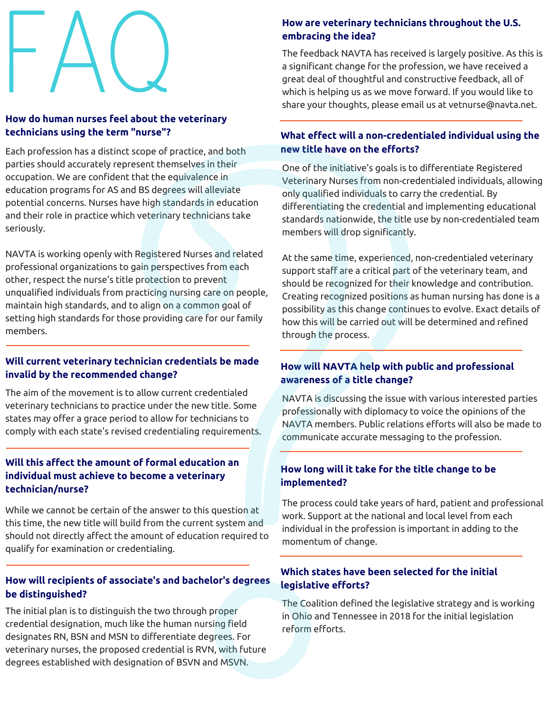# F  $A($ Q

# **H ow do h uman nurses feel about the veterinary technicians using the term "nurse"?**

Each profession has a distinct scope of practice, and both parties should accurately represent themselves in their occupation. We are confident that the equivalence in education programs for AS and BS degrees will alleviate potential concerns. Nurses have high standards in education and their role in practice which veterinary technicians take seriously.

NAVTA is working openly with Registered Nurses and related professional organizations to gain perspectives from each other, respect the nurse's title protection to prevent unqualified individuals from practicing nursing care on people, maintain high standards, and to align on a common goal of setting high standards for those providing care for our family members.

#### **Will current veterinary technician credentials be made invalid by the recommended change?**

The aim of the movement is to allow current credentialed veterinary technicians to practice under the new title. Some states may offer a grace period to allow for technicians to comply with each state's revised credentialing requirements.

#### **Will this affect the amount of formal education an individual must achieve to become a veterinary technician/nurse?**

While we cannot be certain of the answer to this question at this time, the new title will build from the current system and should not directly affect the amount of education required to qualify for examination or credentialing.

# **How will recipients of associate's and bachelor's degrees be distinguished?**

The initial plan is to distinguish the two through proper credential designation, much like the human nursing field designates RN, BSN and MSN to differentiate degrees. For veterinary nurses, the proposed credential is RVN, with future degrees established with designation of BSVN and MSVN.

# **How are veterinary technicians throughout the U.S. embracing the idea?**

The feedback NAVTA has received is largely positive. As this is a significant change for the profession, we have received a great deal of thoughtful and constructive feedback, all of which is helping us as we move forward. If you would like to share your thoughts, please email us at vetnurse@navta.net.

#### **What effect will a non-credentialed individual using the new title have on the efforts?**

One of the initiative's goals is to differentiate Registered Veterinary Nurses from non-credentialed individuals, allowing only qualified individuals to carry the credential. By differentiating the credential and implementing educational standards nationwide, the title use by non-credentialed team members will drop significantly.

At the same time, experienced, non-credentialed veterinary support staff are a critical part of the veterinary team, and should be recognized for their knowledge and contribution. Creating recognized positions as human nursing has done is a possibility as this change continues to evolve. Exact details of how this will be carried out will be determined and refined through the process.

# **How will NAVTA help with public and professional awareness of a title change?**

NAVTA is discussing the issue with various interested parties professionally with diplomacy to voice the opinions of the NAVTA members. Public relations efforts will also be made to communicate accurate messaging to the profession.

# **How long will it take for the title change to be implemented?**

The process could take years of hard, patient and professional work. Support at the national and local level from each individual in the profession is important in adding to the momentum of change.

# **Which states have been selected for the initial legislative efforts?**

The Coalition defined the legislative strategy and is working in Ohio and Tennessee in 2018 for the initial legislation reform efforts.